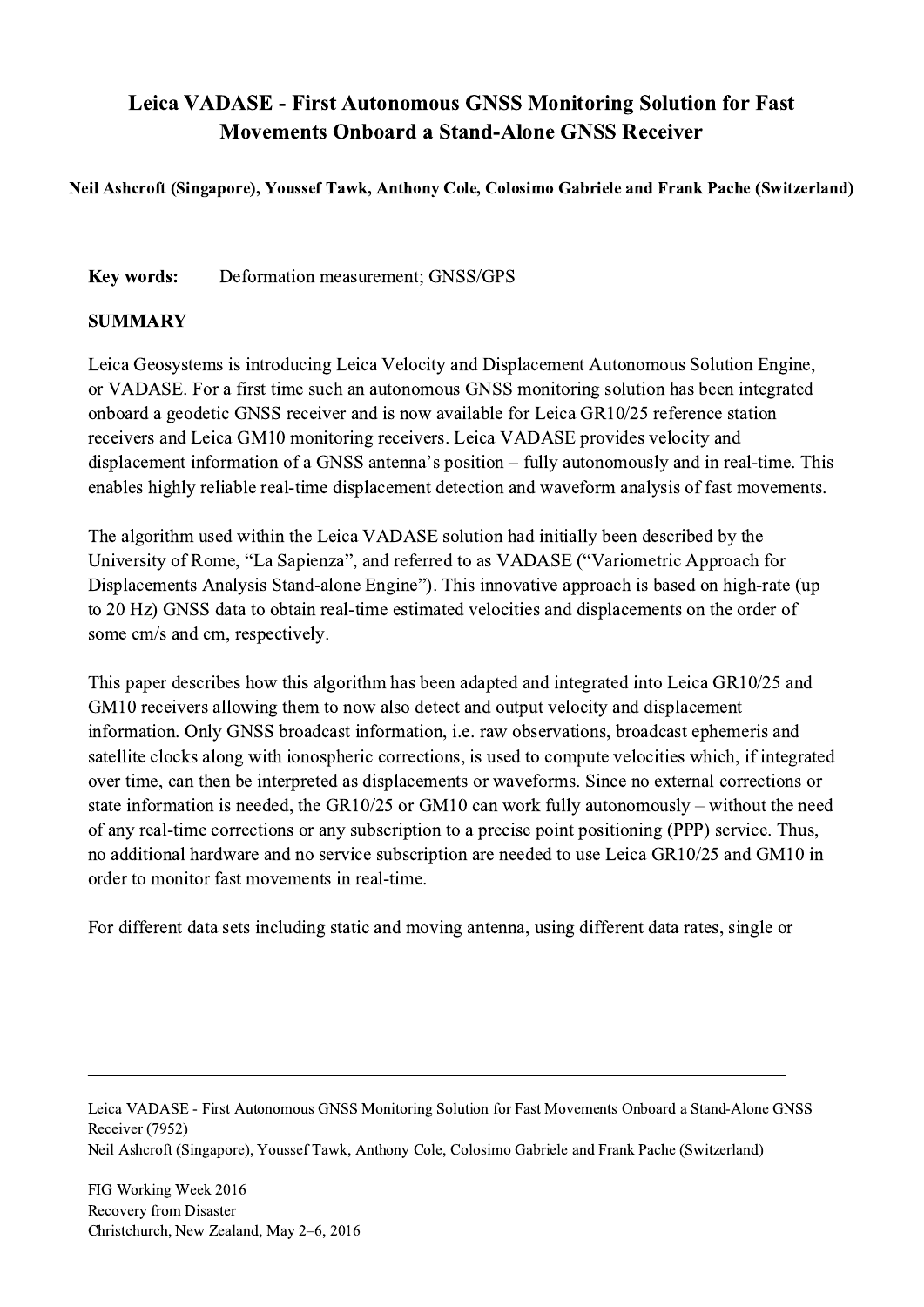## Leica VADASE - First Autonomous GNSS Monitoring Solution for Fast Movements Onboard a Stand-Alone GNSS Receiver

Neil Ashcroft (Singapore), Youssef Tawk, Anthony Cole, Colosimo Gabriele and Frank Pache (Switzerland)

Key words: Deformation measurement; GNSS/GPS

## SUMMARY

Leica Geosystems is introducing Leica Velocity and Displacement Autonomous Solution Engine, or VADASE. For a first time such an autonomous GNSS monitoring solution has been integrated onboard a geodetic GNSS receiver and is now available for Leica GR10/25 reference station receivers and Leica GM10 monitoring receivers. Leica VADASE provides velocity and displacement information of a GNSS antenna's position – fully autonomously and in real-time. This enables highly reliable real-time displacement detection and waveform analysis of fast movements.

The algorithm used within the Leica VADASE solution had initially been described by the University of Rome, "La Sapienza", and referred to as VADASE ("Variometric Approach for Displacements Analysis Stand-alone Engine"). This innovative approach is based on high-rate (up to 20 Hz) GNSS data to obtain real-time estimated velocities and displacements on the order of some cm/s and cm, respectively.

This paper describes how this algorithm has been adapted and integrated into Leica GR10/25 and GM10 receivers allowing them to now also detect and output velocity and displacement information. Only GNSS broadcast information, i.e. raw observations, broadcast ephemeris and satellite clocks along with ionospheric corrections, is used to compute velocities which, if integrated over time, can then be interpreted as displacements or waveforms. Since no external corrections or state information is needed, the GR10/25 or GM10 can work fully autonomously – without the need of any real-time corrections or any subscription to a precise point positioning (PPP) service. Thus, no additional hardware and no service subscription are needed to use Leica GR10/25 and GM10 in order to monitor fast movements in real-time.

For different data sets including static and moving antenna, using different data rates, single or

Leica VADASE - First Autonomous GNSS Monitoring Solution for Fast Movements Onboard a Stand-Alone GNSS Receiver (7952)

 $\mathcal{L}_\mathcal{L} = \{ \mathcal{L}_\mathcal{L} = \{ \mathcal{L}_\mathcal{L} = \{ \mathcal{L}_\mathcal{L} = \{ \mathcal{L}_\mathcal{L} = \{ \mathcal{L}_\mathcal{L} = \{ \mathcal{L}_\mathcal{L} = \{ \mathcal{L}_\mathcal{L} = \{ \mathcal{L}_\mathcal{L} = \{ \mathcal{L}_\mathcal{L} = \{ \mathcal{L}_\mathcal{L} = \{ \mathcal{L}_\mathcal{L} = \{ \mathcal{L}_\mathcal{L} = \{ \mathcal{L}_\mathcal{L} = \{ \mathcal{L}_\mathcal{$ 

Neil Ashcroft (Singapore), Youssef Tawk, Anthony Cole, Colosimo Gabriele and Frank Pache (Switzerland)

FIG Working Week 2016 Recovery from Disaster Christchurch, New Zealand, May 2–6, 2016